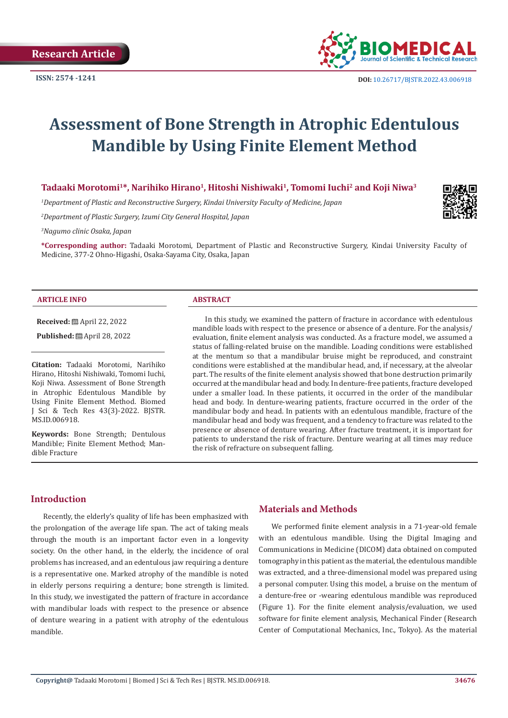

# **Assessment of Bone Strength in Atrophic Edentulous Mandible by Using Finite Element Method**

# **Tadaaki Morotomi1\*, Narihiko Hirano1, Hitoshi Nishiwaki1, Tomomi Iuchi2 and Koji Niwa3**

*1 Department of Plastic and Reconstructive Surgery, Kindai University Faculty of Medicine, Japan*

*2 Department of Plastic Surgery, Izumi City General Hospital, Japan*

*3 Nagumo clinic Osaka, Japan*

**\*Corresponding author:** Tadaaki Morotomi, Department of Plastic and Reconstructive Surgery, Kindai University Faculty of Medicine, 377-2 Ohno-Higashi, Osaka-Sayama City, Osaka, Japan

#### **ARTICLE INFO ABSTRACT**

**Received:** April 22, 2022

**Published:** ■ April 28, 2022

**Citation:** Tadaaki Morotomi, Narihiko Hirano, Hitoshi Nishiwaki, Tomomi Iuchi, Koji Niwa. Assessment of Bone Strength in Atrophic Edentulous Mandible by Using Finite Element Method. Biomed J Sci & Tech Res 43(3)-2022. BJSTR. MS.ID.006918.

**Keywords:** Bone Strength; Dentulous Mandible; Finite Element Method; Mandible Fracture

In this study, we examined the pattern of fracture in accordance with edentulous mandible loads with respect to the presence or absence of a denture. For the analysis/ evaluation, finite element analysis was conducted. As a fracture model, we assumed a status of falling-related bruise on the mandible. Loading conditions were established at the mentum so that a mandibular bruise might be reproduced, and constraint conditions were established at the mandibular head, and, if necessary, at the alveolar part. The results of the finite element analysis showed that bone destruction primarily occurred at the mandibular head and body. In denture-free patients, fracture developed under a smaller load. In these patients, it occurred in the order of the mandibular head and body. In denture-wearing patients, fracture occurred in the order of the mandibular body and head. In patients with an edentulous mandible, fracture of the mandibular head and body was frequent, and a tendency to fracture was related to the presence or absence of denture wearing. After fracture treatment, it is important for patients to understand the risk of fracture. Denture wearing at all times may reduce the risk of refracture on subsequent falling.

# **Introduction**

Recently, the elderly's quality of life has been emphasized with the prolongation of the average life span. The act of taking meals through the mouth is an important factor even in a longevity society. On the other hand, in the elderly, the incidence of oral problems has increased, and an edentulous jaw requiring a denture is a representative one. Marked atrophy of the mandible is noted in elderly persons requiring a denture; bone strength is limited. In this study, we investigated the pattern of fracture in accordance with mandibular loads with respect to the presence or absence of denture wearing in a patient with atrophy of the edentulous mandible.

# **Materials and Methods**

We performed finite element analysis in a 71-year-old female with an edentulous mandible. Using the Digital Imaging and Communications in Medicine (DICOM) data obtained on computed tomography in this patient as the material, the edentulous mandible was extracted, and a three-dimensional model was prepared using a personal computer. Using this model, a bruise on the mentum of a denture-free or -wearing edentulous mandible was reproduced (Figure 1). For the finite element analysis/evaluation, we used software for finite element analysis, Mechanical Finder (Research Center of Computational Mechanics, Inc., Tokyo). As the material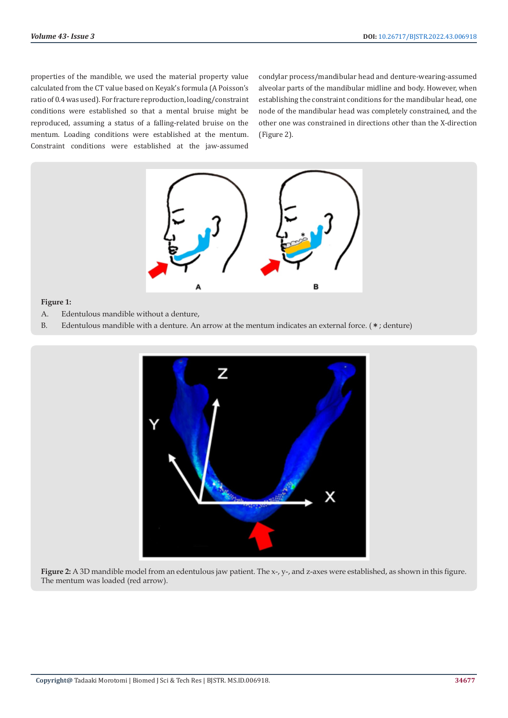properties of the mandible, we used the material property value calculated from the CT value based on Keyak's formula (A Poisson's ratio of 0.4 was used). For fracture reproduction, loading/constraint conditions were established so that a mental bruise might be reproduced, assuming a status of a falling-related bruise on the mentum. Loading conditions were established at the mentum. Constraint conditions were established at the jaw-assumed condylar process/mandibular head and denture-wearing-assumed alveolar parts of the mandibular midline and body. However, when establishing the constraint conditions for the mandibular head, one node of the mandibular head was completely constrained, and the other one was constrained in directions other than the X-direction (Figure 2).



# **Figure 1:**

- A. Edentulous mandible without a denture,
- B. Edentulous mandible with a denture. An arrow at the mentum indicates an external force. (\*; denture)



**Figure 2:** A 3D mandible model from an edentulous jaw patient. The x-, y-, and z-axes were established, as shown in this figure. The mentum was loaded (red arrow).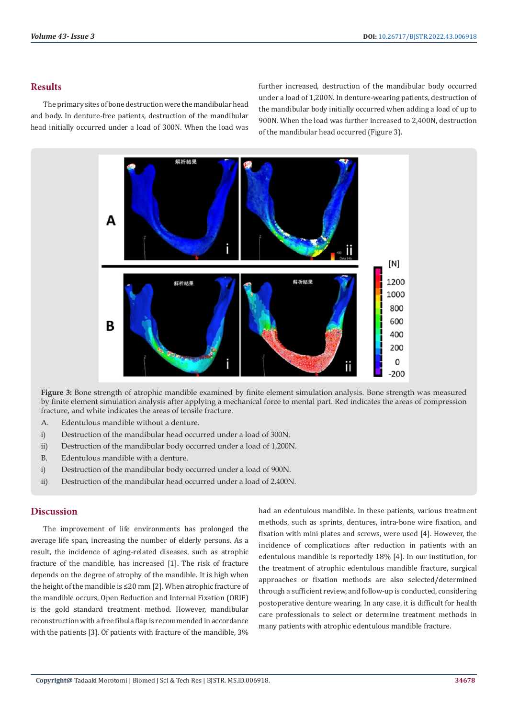# **Results**

The primary sites of bone destruction were the mandibular head and body. In denture-free patients, destruction of the mandibular head initially occurred under a load of 300N. When the load was further increased, destruction of the mandibular body occurred under a load of 1,200N. In denture-wearing patients, destruction of the mandibular body initially occurred when adding a load of up to 900N. When the load was further increased to 2,400N, destruction of the mandibular head occurred (Figure 3).



**Figure 3:** Bone strength of atrophic mandible examined by finite element simulation analysis. Bone strength was measured by finite element simulation analysis after applying a mechanical force to mental part. Red indicates the areas of compression fracture, and white indicates the areas of tensile fracture.

- A. Edentulous mandible without a denture.
- i) Destruction of the mandibular head occurred under a load of 300N.
- ii) Destruction of the mandibular body occurred under a load of 1,200N.
- B. Edentulous mandible with a denture.
- i) Destruction of the mandibular body occurred under a load of 900N.
- ii) Destruction of the mandibular head occurred under a load of 2,400N.

# **Discussion**

The improvement of life environments has prolonged the average life span, increasing the number of elderly persons. As a result, the incidence of aging-related diseases, such as atrophic fracture of the mandible, has increased [1]. The risk of fracture depends on the degree of atrophy of the mandible. It is high when the height of the mandible is ≤20 mm [2]. When atrophic fracture of the mandible occurs, Open Reduction and Internal Fixation (ORIF) is the gold standard treatment method. However, mandibular reconstruction with a free fibula flap is recommended in accordance with the patients [3]. Of patients with fracture of the mandible, 3%

had an edentulous mandible. In these patients, various treatment methods, such as sprints, dentures, intra-bone wire fixation, and fixation with mini plates and screws, were used [4]. However, the incidence of complications after reduction in patients with an edentulous mandible is reportedly 18% [4]. In our institution, for the treatment of atrophic edentulous mandible fracture, surgical approaches or fixation methods are also selected/determined through a sufficient review, and follow-up is conducted, considering postoperative denture wearing. In any case, it is difficult for health care professionals to select or determine treatment methods in many patients with atrophic edentulous mandible fracture.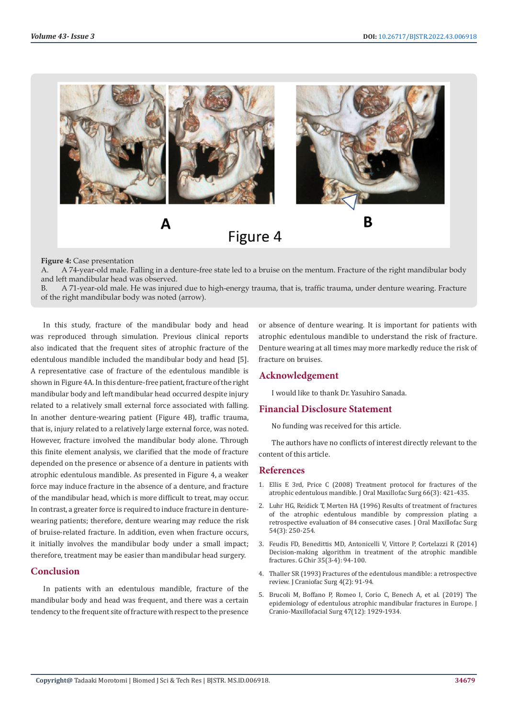

#### **Figure 4:** Case presentation

A. A 74-year-old male. Falling in a denture-free state led to a bruise on the mentum. Fracture of the right mandibular body and left mandibular head was observed.

B. A 71-year-old male. He was injured due to high-energy trauma, that is, traffic trauma, under denture wearing. Fracture of the right mandibular body was noted (arrow).

In this study, fracture of the mandibular body and head was reproduced through simulation. Previous clinical reports also indicated that the frequent sites of atrophic fracture of the edentulous mandible included the mandibular body and head [5]. A representative case of fracture of the edentulous mandible is shown in Figure 4A. In this denture-free patient, fracture of the right mandibular body and left mandibular head occurred despite injury related to a relatively small external force associated with falling. In another denture-wearing patient (Figure 4B), traffic trauma, that is, injury related to a relatively large external force, was noted. However, fracture involved the mandibular body alone. Through this finite element analysis, we clarified that the mode of fracture depended on the presence or absence of a denture in patients with atrophic edentulous mandible. As presented in Figure 4, a weaker force may induce fracture in the absence of a denture, and fracture of the mandibular head, which is more difficult to treat, may occur. In contrast, a greater force is required to induce fracture in denturewearing patients; therefore, denture wearing may reduce the risk of bruise-related fracture. In addition, even when fracture occurs, it initially involves the mandibular body under a small impact; therefore, treatment may be easier than mandibular head surgery.

### **Conclusion**

In patients with an edentulous mandible, fracture of the mandibular body and head was frequent, and there was a certain tendency to the frequent site of fracture with respect to the presence

or absence of denture wearing. It is important for patients with atrophic edentulous mandible to understand the risk of fracture. Denture wearing at all times may more markedly reduce the risk of fracture on bruises.

## **Acknowledgement**

I would like to thank Dr. Yasuhiro Sanada.

#### **Financial Disclosure Statement**

No funding was received for this article.

The authors have no conflicts of interest directly relevant to the content of this article.

#### **References**

- 1. [Ellis E 3rd, Price C \(2008\) Treatment protocol for fractures of the](https://pubmed.ncbi.nlm.nih.gov/18280373/) [atrophic edentulous mandible. J Oral Maxillofac Surg 66\(3\): 421-435.](https://pubmed.ncbi.nlm.nih.gov/18280373/)
- 2. [Luhr HG, Reidick T, Merten HA \(1996\) Results of treatment of fractures](https://pubmed.ncbi.nlm.nih.gov/8600229/) [of the atrophic edentulous mandible by compression plating a](https://pubmed.ncbi.nlm.nih.gov/8600229/) [retrospective evaluation of 84 consecutive cases. J Oral Maxillofac Surg](https://pubmed.ncbi.nlm.nih.gov/8600229/) [54\(3\): 250-254.](https://pubmed.ncbi.nlm.nih.gov/8600229/)
- 3. [Feudis FD, Benedittis MD, Antonicelli V, Vittore P, Cortelazzi R \(2014\)](https://pubmed.ncbi.nlm.nih.gov/24841687/) [Decision-making algorithm in treatment of the atrophic mandible](https://pubmed.ncbi.nlm.nih.gov/24841687/) [fractures. G Chir 35\(3-4\): 94-100.](https://pubmed.ncbi.nlm.nih.gov/24841687/)
- 4. [Thaller SR \(1993\) Fractures of the edentulous mandible: a retrospective](https://pubmed.ncbi.nlm.nih.gov/8324089/) [review. J Craniofac Surg 4\(2\): 91-94.](https://pubmed.ncbi.nlm.nih.gov/8324089/)
- 5. [Brucoli M, Boffano P, Romeo I, Corio C, Benech A, et al. \(2019\) The](https://pubmed.ncbi.nlm.nih.gov/31810843/) [epidemiology of edentulous atrophic mandibular fractures in Europe. J](https://pubmed.ncbi.nlm.nih.gov/31810843/) [Cranio-Maxillofacial Surg 47\(12\): 1929-1934.](https://pubmed.ncbi.nlm.nih.gov/31810843/)